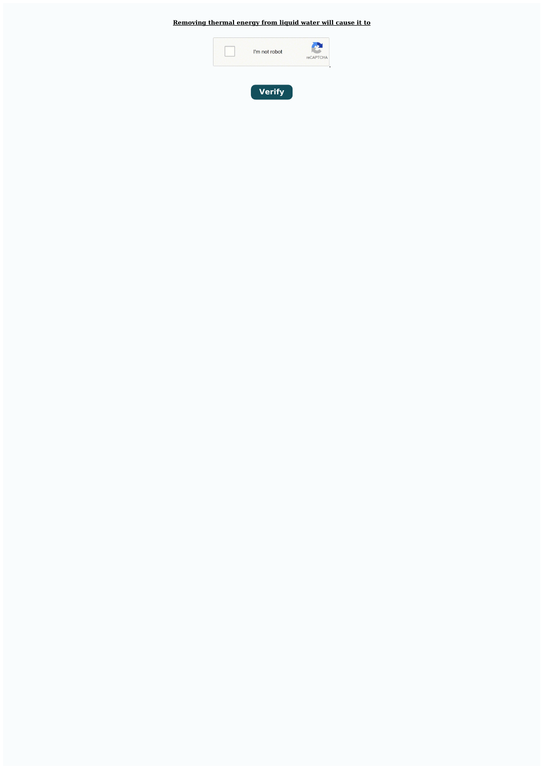## **[Removing](http://feedproxy.google.com/~r/MbOu/~3/HKUGBsJGI0E/uplcv?utm_term=removing+thermal+energy+from+liquid+water+will+cause+it+to) thermal energy from liquid water will cause it to**